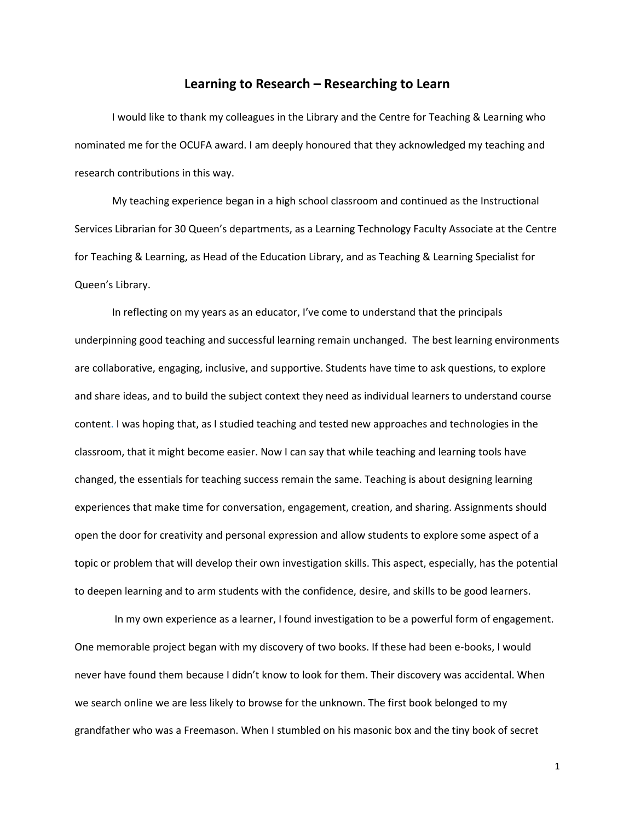## **Learning to Research – Researching to Learn**

I would like to thank my colleagues in the Library and the Centre for Teaching & Learning who nominated me for the OCUFA award. I am deeply honoured that they acknowledged my teaching and research contributions in this way.

My teaching experience began in a high school classroom and continued as the Instructional Services Librarian for 30 Queen's departments, as a Learning Technology Faculty Associate at the Centre for Teaching & Learning, as Head of the Education Library, and as Teaching & Learning Specialist for Queen's Library.

In reflecting on my years as an educator, I've come to understand that the principals underpinning good teaching and successful learning remain unchanged. The best learning environments are collaborative, engaging, inclusive, and supportive. Students have time to ask questions, to explore and share ideas, and to build the subject context they need as individual learners to understand course content. I was hoping that, as I studied teaching and tested new approaches and technologies in the classroom, that it might become easier. Now I can say that while teaching and learning tools have changed, the essentials for teaching success remain the same. Teaching is about designing learning experiences that make time for conversation, engagement, creation, and sharing. Assignments should open the door for creativity and personal expression and allow students to explore some aspect of a topic or problem that will develop their own investigation skills. This aspect, especially, has the potential to deepen learning and to arm students with the confidence, desire, and skills to be good learners.

In my own experience as a learner, I found investigation to be a powerful form of engagement. One memorable project began with my discovery of two books. If these had been e-books, I would never have found them because I didn't know to look for them. Their discovery was accidental. When we search online we are less likely to browse for the unknown. The first book belonged to my grandfather who was a Freemason. When I stumbled on his masonic box and the tiny book of secret

1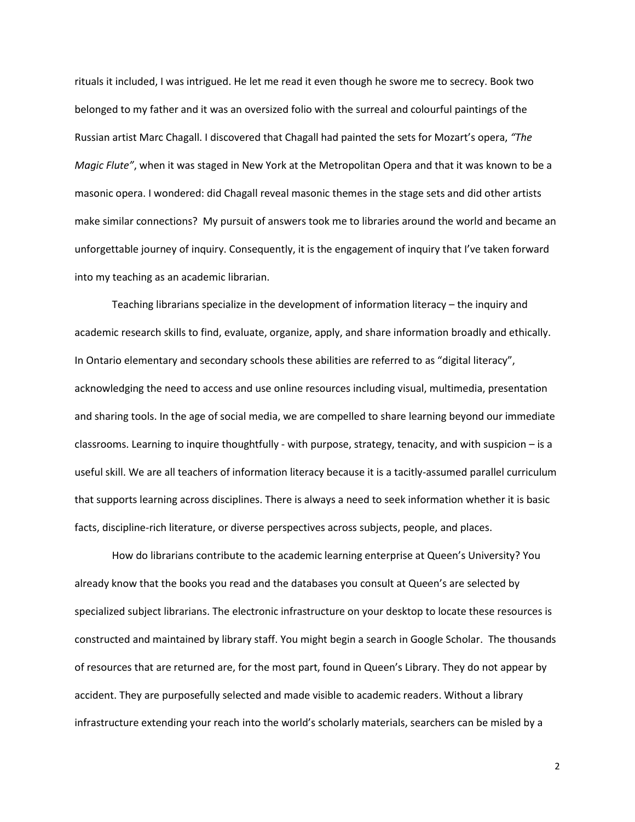rituals it included, I was intrigued. He let me read it even though he swore me to secrecy. Book two belonged to my father and it was an oversized folio with the surreal and colourful paintings of the Russian artist Marc Chagall. I discovered that Chagall had painted the sets for Mozart's opera, *"The Magic Flute"*, when it was staged in New York at the Metropolitan Opera and that it was known to be a masonic opera. I wondered: did Chagall reveal masonic themes in the stage sets and did other artists make similar connections? My pursuit of answers took me to libraries around the world and became an unforgettable journey of inquiry. Consequently, it is the engagement of inquiry that I've taken forward into my teaching as an academic librarian.

Teaching librarians specialize in the development of information literacy – the inquiry and academic research skills to find, evaluate, organize, apply, and share information broadly and ethically. In Ontario elementary and secondary schools these abilities are referred to as "digital literacy", acknowledging the need to access and use online resources including visual, multimedia, presentation and sharing tools. In the age of social media, we are compelled to share learning beyond our immediate classrooms. Learning to inquire thoughtfully - with purpose, strategy, tenacity, and with suspicion – is a useful skill. We are all teachers of information literacy because it is a tacitly-assumed parallel curriculum that supports learning across disciplines. There is always a need to seek information whether it is basic facts, discipline-rich literature, or diverse perspectives across subjects, people, and places.

How do librarians contribute to the academic learning enterprise at Queen's University? You already know that the books you read and the databases you consult at Queen's are selected by specialized subject librarians. The electronic infrastructure on your desktop to locate these resources is constructed and maintained by library staff. You might begin a search in Google Scholar. The thousands of resources that are returned are, for the most part, found in Queen's Library. They do not appear by accident. They are purposefully selected and made visible to academic readers. Without a library infrastructure extending your reach into the world's scholarly materials, searchers can be misled by a

2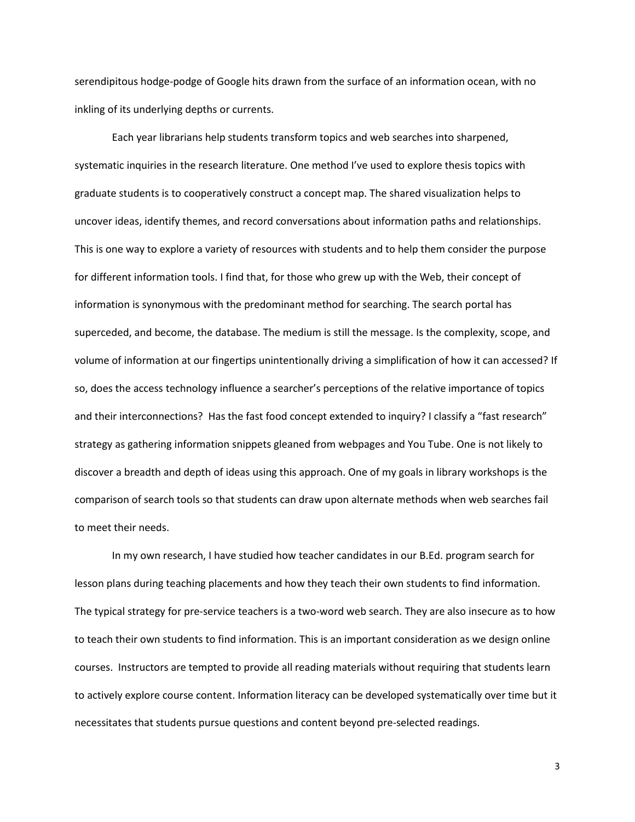serendipitous hodge-podge of Google hits drawn from the surface of an information ocean, with no inkling of its underlying depths or currents.

Each year librarians help students transform topics and web searches into sharpened, systematic inquiries in the research literature. One method I've used to explore thesis topics with graduate students is to cooperatively construct a concept map. The shared visualization helps to uncover ideas, identify themes, and record conversations about information paths and relationships. This is one way to explore a variety of resources with students and to help them consider the purpose for different information tools. I find that, for those who grew up with the Web, their concept of information is synonymous with the predominant method for searching. The search portal has superceded, and become, the database. The medium is still the message. Is the complexity, scope, and volume of information at our fingertips unintentionally driving a simplification of how it can accessed? If so, does the access technology influence a searcher's perceptions of the relative importance of topics and their interconnections? Has the fast food concept extended to inquiry? I classify a "fast research" strategy as gathering information snippets gleaned from webpages and You Tube. One is not likely to discover a breadth and depth of ideas using this approach. One of my goals in library workshops is the comparison of search tools so that students can draw upon alternate methods when web searches fail to meet their needs.

In my own research, I have studied how teacher candidates in our B.Ed. program search for lesson plans during teaching placements and how they teach their own students to find information. The typical strategy for pre-service teachers is a two-word web search. They are also insecure as to how to teach their own students to find information. This is an important consideration as we design online courses. Instructors are tempted to provide all reading materials without requiring that students learn to actively explore course content. Information literacy can be developed systematically over time but it necessitates that students pursue questions and content beyond pre-selected readings.

3